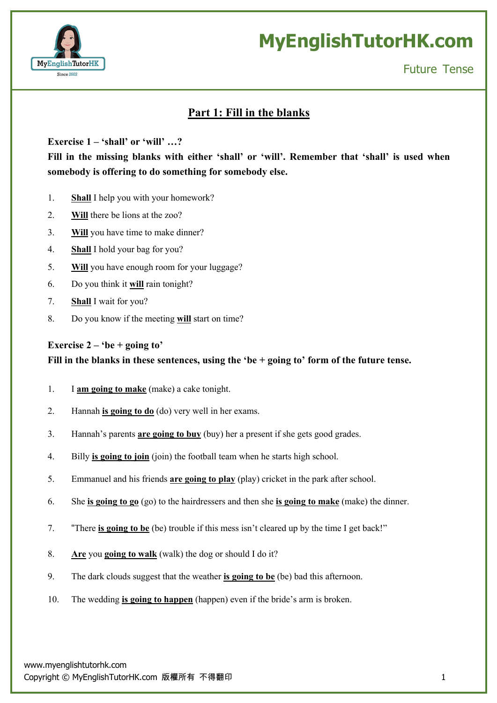

Future Tense

### **Part 1: Fill in the blanks**

**Exercise 1 – 'shall' or 'will' …?**

**Fill in the missing blanks with either 'shall' or 'will'. Remember that 'shall' is used when somebody is offering to do something for somebody else.**

- 1. **Shall** I help you with your homework?
- 2. **Will** there be lions at the zoo?
- 3. **Will** you have time to make dinner?
- 4. **Shall** I hold your bag for you?
- 5. **Will** you have enough room for your luggage?
- 6. Do you think it **will** rain tonight?
- 7. **Shall** I wait for you?
- 8. Do you know if the meeting **will** start on time?

#### **Exercise**  $2 - 'be + going to'$

**Fill in the blanks in these sentences, using the 'be + going to' form of the future tense.**

- 1. I **am going to make** (make) a cake tonight.
- 2. Hannah **is going to do** (do) very well in her exams.
- 3. Hannah's parents **are going to buy** (buy) her a present if she gets good grades.
- 4. Billy **is going to join** (join) the football team when he starts high school.
- 5. Emmanuel and his friends **are going to play** (play) cricket in the park after school.
- 6. She **is going to go** (go) to the hairdressers and then she **is going to make** (make) the dinner.
- 7. "There **is going to be** (be) trouble if this mess isn't cleared up by the time I get back!"
- 8. **Are** you **going to walk** (walk) the dog or should I do it?
- 9. The dark clouds suggest that the weather **is going to be** (be) bad this afternoon.
- 10. The wedding **is going to happen** (happen) even if the bride's arm is broken.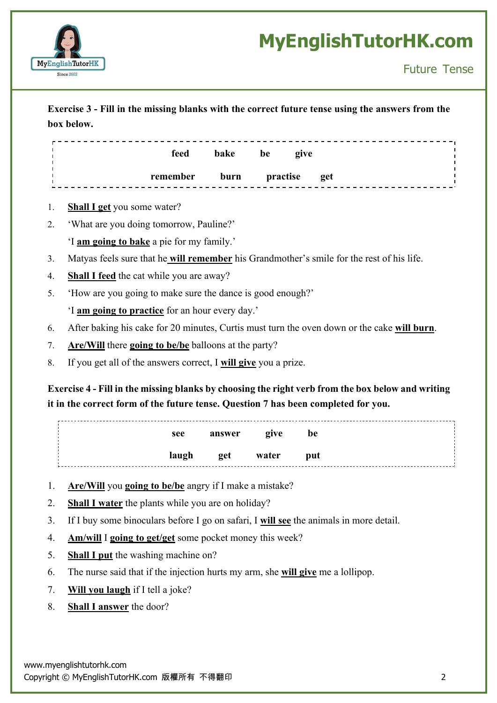

### **Exercise 3 - Fill in the missing blanks with the correct future tense using the answers from the box below.**

| feed     | bake | be       | give |     |  |
|----------|------|----------|------|-----|--|
| remember | burn | practise |      | get |  |

- 1. **Shall I get** you some water?
- 2. 'What are you doing tomorrow, Pauline?' 'I **am going to bake** a pie for my family.'
- 3. Matyas feels sure that he **will remember** his Grandmother's smile for the rest of his life.
- 4. **Shall I feed** the cat while you are away?
- 5. 'How are you going to make sure the dance is good enough?'

'I **am going to practice** for an hour every day.'

- 6. After baking his cake for 20 minutes, Curtis must turn the oven down or the cake **will burn**.
- 7. **Are/Will** there **going to be/be** balloons at the party?
- 8. If you get all of the answers correct, I **will give** you a prize.

### Exercise 4 - Fill in the missing blanks by choosing the right verb from the box below and writing **it in the correct form of the future tense. Question 7 has been completed for you.**

| see   | answer                                                                                                               | give be |            |  |
|-------|----------------------------------------------------------------------------------------------------------------------|---------|------------|--|
| laugh | <b>Example 12 September 12 September 12 September 12 September 12 September 12 September 12 September 12 Septemb</b> |         | <b>put</b> |  |

- 1. **Are/Will** you **going to be/be** angry if I make a mistake?
- 2. **Shall I water** the plants while you are on holiday?
- 3. If I buy some binoculars before I go on safari, I **will see** the animals in more detail.
- 4. **Am/will** I **going to get/get** some pocket money this week?
- 5. **Shall I put** the washing machine on?
- 6. The nurse said that if the injection hurts my arm, she **will give** me a lollipop.
- 7. **Will you laugh** if I tell a joke?
- 8. **Shall I answer** the door?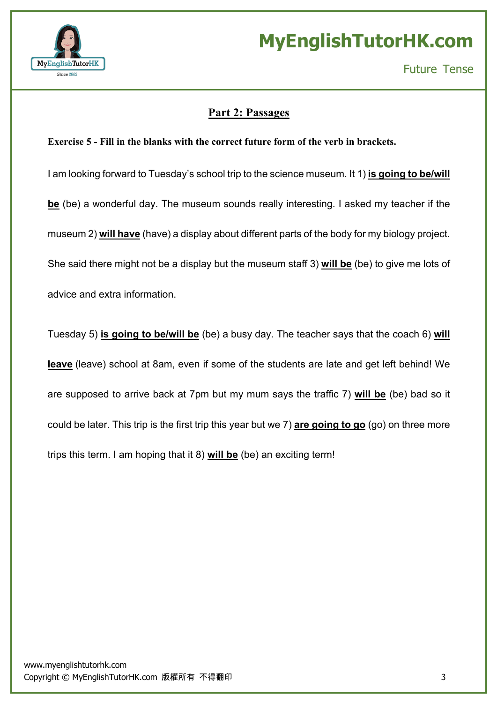

### **Part 2: Passages**

#### **Exercise 5 - Fill in the blanks with the correct future form of the verb in brackets.**

I am looking forward to Tuesday's school trip to the science museum. It 1) **is going to be/will be** (be) a wonderful day. The museum sounds really interesting. I asked my teacher if the museum 2) **will have** (have) a display about different parts of the body for my biology project. She said there might not be a display but the museum staff 3) **will be** (be) to give me lots of advice and extra information.

Tuesday 5) **is going to be/will be** (be) a busy day. The teacher says that the coach 6) **will leave** (leave) school at 8am, even if some of the students are late and get left behind! We are supposed to arrive back at 7pm but my mum says the traffic 7) **will be** (be) bad so it could be later. This trip is the first trip this year but we 7) **are going to go** (go) on three more trips this term. I am hoping that it 8) **will be** (be) an exciting term!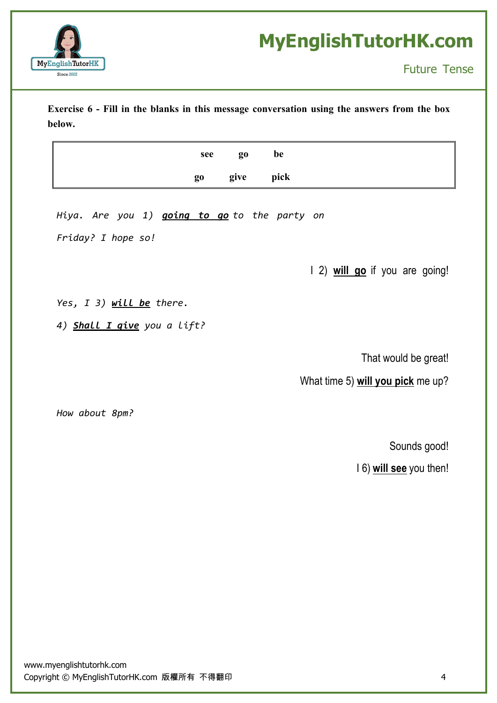

**Exercise 6 - Fill in the blanks in this message conversation using the answers from the box below.**

| see go | be           |
|--------|--------------|
|        | go give pick |

*Hiya. Are you 1) going to go to the party on*

*Friday? I hope so!*

I 2) **will go** if you are going!

*Yes, I 3) will be there.*

*4) Shall I give you a lift?*

That would be great!

What time 5) **will you pick** me up?

*How about 8pm?*

Sounds good!

I 6) **will see** you then!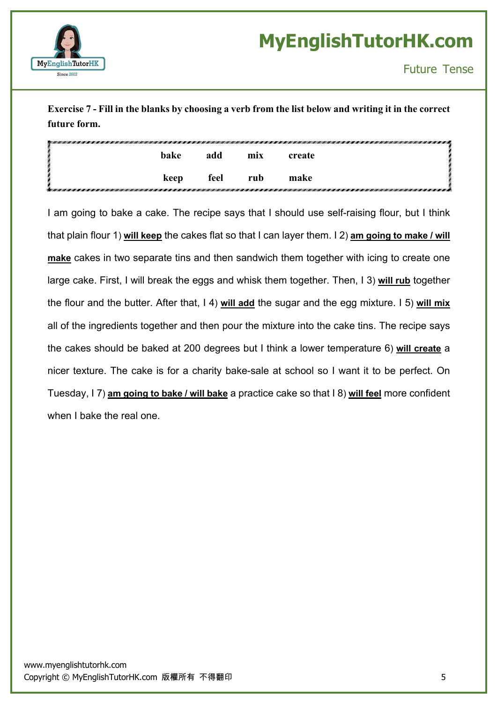

Exercise 7 - Fill in the blanks by choosing a verb from the list below and writing it in the correct **future form.**

|           | bake | add  | mix | create |
|-----------|------|------|-----|--------|
| rathaw e. | keep | feel | rub | make   |

I am going to bake a cake. The recipe says that I should use self-raising flour, but I think that plain flour 1) **will keep** the cakes flat so that I can layer them. I 2) **am going to make / will make** cakes in two separate tins and then sandwich them together with icing to create one large cake. First, I will break the eggs and whisk them together. Then, I 3) **will rub** together the flour and the butter. After that, I 4) **will add** the sugar and the egg mixture. I 5) **will mix** all of the ingredients together and then pour the mixture into the cake tins. The recipe says the cakes should be baked at 200 degrees but I think a lower temperature 6) **will create** a nicer texture. The cake is for a charity bake-sale at school so I want it to be perfect. On Tuesday, I 7) **am going to bake / will bake** a practice cake so that I 8) **will feel** more confident when I bake the real one.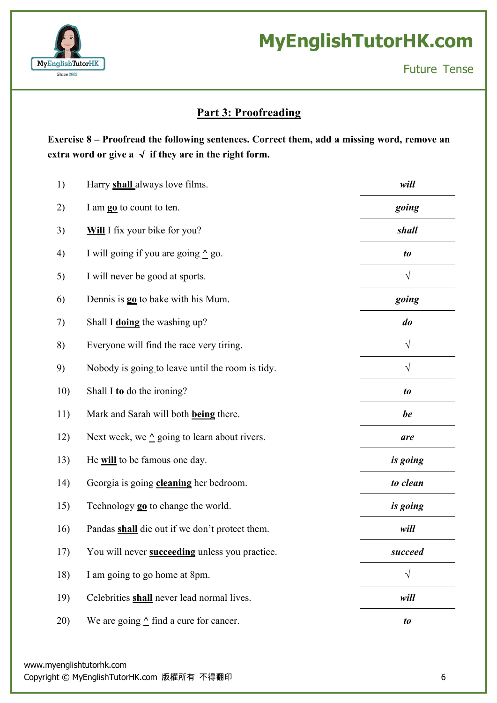

### **Part 3: Proofreading**

**Exercise 8 – Proofread the following sentences. Correct them, add a missing word, remove an extra** word or give a  $\checkmark$  if they are in the right form.

| 1)  | Harry <b>shall</b> always love films.                  | will                   |
|-----|--------------------------------------------------------|------------------------|
| 2)  | I am <b>go</b> to count to ten.                        | going                  |
| 3)  | Will I fix your bike for you?                          | shall                  |
| 4)  | I will going if you are going $\triangle$ go.          | to                     |
| 5)  | I will never be good at sports.                        | $\sqrt{}$              |
| 6)  | Dennis is <b>go</b> to bake with his Mum.              | going                  |
| 7)  | Shall I doing the washing up?                          | do                     |
| 8)  | Everyone will find the race very tiring.               | $\sqrt{}$              |
| 9)  | Nobody is going to leave until the room is tidy.       | $\sqrt{}$              |
| 10) | Shall I to do the ironing?                             | $\boldsymbol{t\theta}$ |
| 11) | Mark and Sarah will both <b>being</b> there.           | be                     |
| 12) | Next week, we $\triangle$ going to learn about rivers. | are                    |
| 13) | He will to be famous one day.                          | is going               |
| 14) | Georgia is going <b>cleaning</b> her bedroom.          | to clean               |
| 15) | Technology <b>go</b> to change the world.              | is going               |
| 16) | Pandas shall die out if we don't protect them.         | will                   |
| 17) | You will never <b>succeeding</b> unless you practice.  | succeed                |
| 18) | I am going to go home at 8pm.                          | $\sqrt{}$              |
| 19) | Celebrities shall never lead normal lives.             | will                   |
| 20) | We are going $\triangle$ find a cure for cancer.       | to                     |

www.myenglishtutorhk.com

Copyright © MyEnglishTutorHK.com 版權所有 不得翻印 6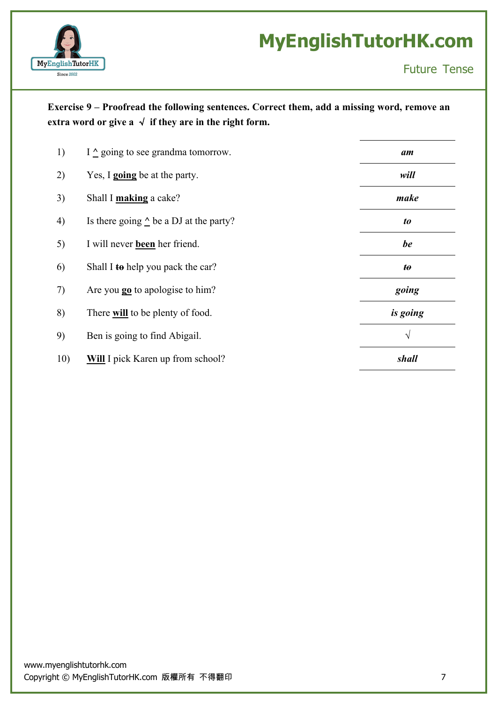

### **Exercise 9 – Proofread the following sentences. Correct them, add a missing word, remove an extra word** or give  $a \sqrt{f}$  **if** they are in the right form.

| 1)  | I $\triangle$ going to see grandma tomorrow.     | am                |
|-----|--------------------------------------------------|-------------------|
| 2)  | Yes, I <b>going</b> be at the party.             | will              |
| 3)  | Shall I making a cake?                           | make              |
| 4)  | Is there going $\triangle$ be a DJ at the party? | to                |
| 5)  | I will never <b>been</b> her friend.             | be                |
| 6)  | Shall I to help you pack the car?                | $\boldsymbol{to}$ |
| 7)  | Are you <b>go</b> to apologise to him?           | going             |
| 8)  | There will to be plenty of food.                 | is going          |
| 9)  | Ben is going to find Abigail.                    | $\sqrt{}$         |
| 10) | <b>Will</b> I pick Karen up from school?         | shall             |